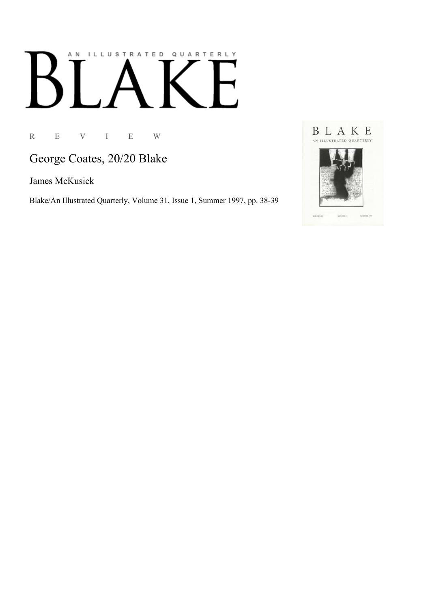# AN ILLUSTRATED QUARTERLY

R E V I E W

George Coates, 20/20 Blake

James McKusick

Blake/An Illustrated Quarterly, Volume 31, Issue 1, Summer 1997, pp. 38-39

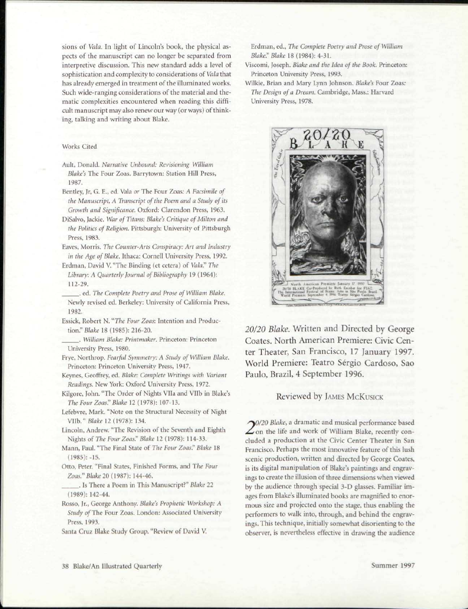sions of *Vala.* In light of Lincoln's book, the physical aspects of the manuscript can no longer be separated from interpretive discussion. This new standard adds a level of sophistication and complexity to considerations of *Vala* that has already emerged in treatment of the illuminated works. Such wide-ranging considerations of the material and thematic complexities encountered when reading this difficult manuscript may also renew our way (or ways) of thinking, talking and writing about Blake.

## Works Cited

- Ault, Donald. *Narrative Unbound: Revisioning William Blake's* The Four Zoas. Barrytown: Station Hill Press, 1987.
- Bentley, Jr, G. E., ed. Vala *or* The Four Zoas: *A Facsimile of the Manuscript, A Transcript of the Poem and a Study of its Growth and Significance.* Oxford: Clarendon Press, 1963.
- DiSalvo, Jackie. *War of Titans: Blake's Critique of Milton and the Politics of Religion.* Pittsburgh: University of Pittsburgh Press, 1983.
- Eaves, Morris. *The Counter-Arts Conspiracy: Art and Industry in the Age of Blake.* Ithaca: Cornell University Press, 1992.
- Erdman, David V. "The Binding (et cetera) of *Vala!' The Library: A Quarterly Journal of Bibliography* 19 (1964): 112-29.
- . ed. *The Complete Poetry and Prose of William Blake.*  Newly revised ed. Berkeley: University of California Press, 1982.
- Essick, Robert N. *"The Four Zoas:* Intention and Production." *Blake* 18 (1985): 216-20.
- . *William Blake: I'rintniaker.* Princeton: Princeton University Press, 1980.
- Frye, Northrop. *Fearful Symmetry: A Study of William Blake.*  Princeton: Princeton University Press, 1947.
- Keynes, Geoffrey, ed. *Blake: Complete Writings with Variant Readings.* New York: Oxford University Press, 1972.
- Kilgore, John. "The Order of Nights Vila and Vllb in Blake's *The Four Zoas." Blake* 12 (1978): 107-13.
- Lefebvre, Mark. "Note on the Structural Necessity of Night Vllb." *Blake* 12 (1978): 134.
- Lincoln, Andrew. "The Revision of the Seventh and Eighth Nights of *The Four Zoas*." *Blake* 12 (1978): 114-33.
- Mann, Paul. "The Final State of *The Four Zoos'' Blake* 18  $(1985): -15.$
- Otto, Peter. "Final States, Finished Forms, and *The Four Zoas." Blake 20 (\987):* 144-46.
- . Is There a Poem in This Manuscript?" *Blake* 22 (1989): 142-44.
- Rosso, Jr., George Anthony. *Blake'\* Prophetic Workshop: A Study* of The Four Zoas. London: Associated University Press, 1993.
- Santa Cruz Blake Study Group. "Review of David V.

Erdman, ed., *The Complete Poetry and Prose of William Blake': Blake* 18 (1984): 4-31.

- Viscomi, Joseph. *Blake and the Idea of the Book.* Princeton: Princeton University Press, 1993.
- Wilkic, Brian and Mary Lynn Johnson. *Blake's* Four Zoas: *The Design of a Dream.* Cambridge, Mass.: Harvard University Press, 1978.



*20/20 Blake.* Written and Directed by George Coates. North American Premiere: Civic Center Theater, San Francisco, 17 January 1997. World Premiere: Teatro Sergio Cardoso, Sao Paulo, Brazil, 4 September 1996.

# Reviewed by JAMES MCKUSICK

*0/20 Blake,* a dramatic and musical performance based  $\angle$  on the life and work of William Blake, recently concluded a production at the Civic Center Theater in San Francisco. Perhaps the most innovative feature of this lush scenic production, written and directed by George Coates, is its digital manipulation of Blake's paintings and engravings to create the illusion of three dimensions when viewed by the audience through special 3-D glasses. Familiar images from Blake's illuminated books are magnified to enormous size and projected onto the stage, thus enabling the performers to walk into, through, and behind the engravings. This technique, initially somewhat disorienting to the observer, is nevertheless effective in drawing the audience